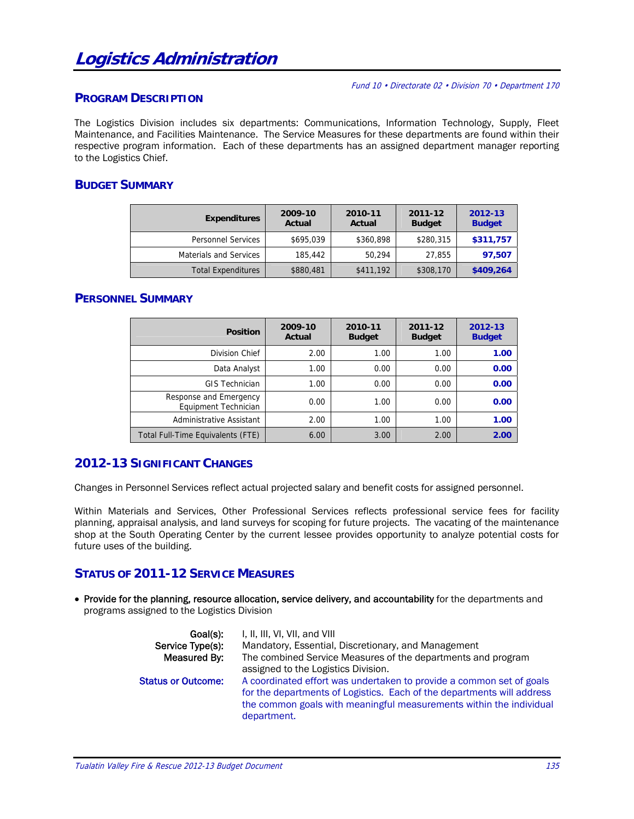#### Fund 10 • Directorate 02 • Division 70 • Department 170

#### **PROGRAM DESCRIPTION**

The Logistics Division includes six departments: Communications, Information Technology, Supply, Fleet Maintenance, and Facilities Maintenance. The Service Measures for these departments are found within their respective program information. Each of these departments has an assigned department manager reporting to the Logistics Chief.

## **BUDGET SUMMARY**

| <b>Expenditures</b>       | 2009-10<br>Actual | 2010-11<br>Actual | 2011-12<br><b>Budget</b> | 2012-13<br><b>Budget</b> |  |
|---------------------------|-------------------|-------------------|--------------------------|--------------------------|--|
| <b>Personnel Services</b> | \$695,039         | \$360,898         | \$280,315                | \$311,757                |  |
| Materials and Services    | 185,442           | 50.294            | 27,855                   | 97,507                   |  |
| <b>Total Expenditures</b> | \$880,481         | \$411,192         | \$308,170                | \$409,264                |  |

### **PERSONNEL SUMMARY**

| <b>Position</b>                                | 2009-10<br>Actual | 2010-11<br><b>Budget</b> | 2011-12<br><b>Budget</b> | 2012-13<br><b>Budget</b> |  |
|------------------------------------------------|-------------------|--------------------------|--------------------------|--------------------------|--|
| Division Chief                                 | 2.00              | 1.00                     | 1.00                     | 1.00                     |  |
| Data Analyst                                   | 1.00              | 0.00                     | 0.00                     | 0.00                     |  |
| <b>GIS Technician</b>                          | 1.00              | 0.00                     | 0.00                     | 0.00                     |  |
| Response and Emergency<br>Equipment Technician | 0.00              | 1.00                     | 0.00                     | 0.00                     |  |
| Administrative Assistant                       | 2.00              | 1.00                     | 1.00                     | 1.00                     |  |
| Total Full-Time Equivalents (FTE)              | 6.00              | 3.00                     | 2.00                     | 2.00                     |  |

## **2012-13 SIGNIFICANT CHANGES**

Changes in Personnel Services reflect actual projected salary and benefit costs for assigned personnel.

Within Materials and Services, Other Professional Services reflects professional service fees for facility planning, appraisal analysis, and land surveys for scoping for future projects. The vacating of the maintenance shop at the South Operating Center by the current lessee provides opportunity to analyze potential costs for future uses of the building.

#### **STATUS OF 2011-12 SERVICE MEASURES**

• Provide for the planning, resource allocation, service delivery, and accountability for the departments and programs assigned to the Logistics Division

| Goal(s):<br>Service Type(s):<br>Measured By: | I, II, III, VI, VII, and VIII<br>Mandatory, Essential, Discretionary, and Management<br>The combined Service Measures of the departments and program<br>assigned to the Logistics Division.                                          |
|----------------------------------------------|--------------------------------------------------------------------------------------------------------------------------------------------------------------------------------------------------------------------------------------|
| <b>Status or Outcome:</b>                    | A coordinated effort was undertaken to provide a common set of goals<br>for the departments of Logistics. Each of the departments will address<br>the common goals with meaningful measurements within the individual<br>department. |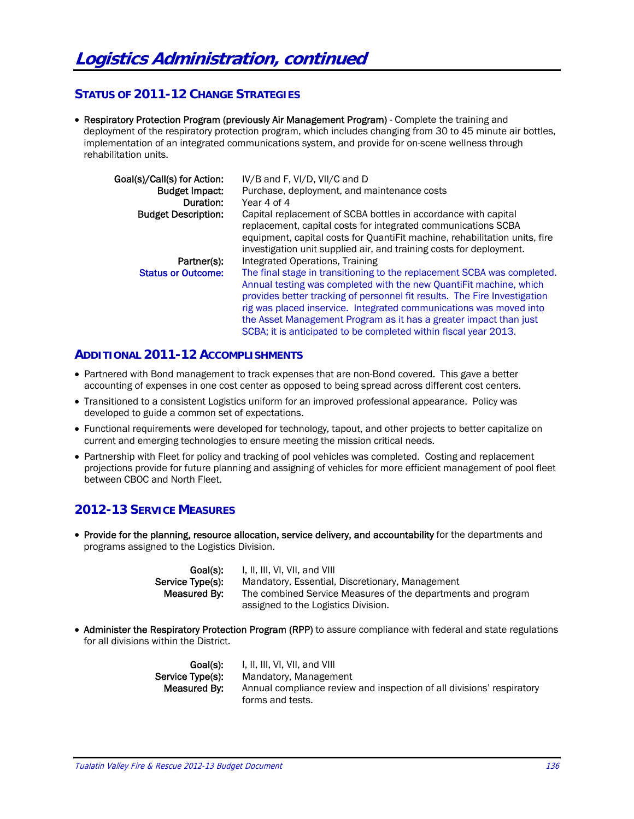## **STATUS OF 2011-12 CHANGE STRATEGIES**

• Respiratory Protection Program (previously Air Management Program) - Complete the training and deployment of the respiratory protection program, which includes changing from 30 to 45 minute air bottles, implementation of an integrated communications system, and provide for on-scene wellness through rehabilitation units.

| Goal(s)/Call(s) for Action: | IV/B and F, VI/D, VII/C and D                                                                                                   |
|-----------------------------|---------------------------------------------------------------------------------------------------------------------------------|
| <b>Budget Impact:</b>       | Purchase, deployment, and maintenance costs                                                                                     |
| Duration:                   | Year 4 of 4                                                                                                                     |
| <b>Budget Description:</b>  | Capital replacement of SCBA bottles in accordance with capital<br>replacement, capital costs for integrated communications SCBA |
|                             | equipment, capital costs for QuantiFit machine, rehabilitation units, fire                                                      |
|                             | investigation unit supplied air, and training costs for deployment.                                                             |
| Partner(s):                 | Integrated Operations, Training                                                                                                 |
| <b>Status or Outcome:</b>   | The final stage in transitioning to the replacement SCBA was completed.                                                         |
|                             | Annual testing was completed with the new QuantiFit machine, which                                                              |
|                             | provides better tracking of personnel fit results. The Fire Investigation                                                       |
|                             | rig was placed inservice. Integrated communications was moved into                                                              |
|                             | the Asset Management Program as it has a greater impact than just                                                               |
|                             | SCBA; it is anticipated to be completed within fiscal year 2013.                                                                |

## **ADDITIONAL 2011-12 ACCOMPLISHMENTS**

- Partnered with Bond management to track expenses that are non-Bond covered. This gave a better accounting of expenses in one cost center as opposed to being spread across different cost centers.
- Transitioned to a consistent Logistics uniform for an improved professional appearance. Policy was developed to guide a common set of expectations.
- Functional requirements were developed for technology, tapout, and other projects to better capitalize on current and emerging technologies to ensure meeting the mission critical needs.
- Partnership with Fleet for policy and tracking of pool vehicles was completed. Costing and replacement projections provide for future planning and assigning of vehicles for more efficient management of pool fleet between CBOC and North Fleet.

## **2012-13 SERVICE MEASURES**

• Provide for the planning, resource allocation, service delivery, and accountability for the departments and programs assigned to the Logistics Division.

| Goal(s):         | I, II, III, VI, VII, and VIII                                |
|------------------|--------------------------------------------------------------|
| Service Type(s): | Mandatory, Essential, Discretionary, Management              |
| Measured By:     | The combined Service Measures of the departments and program |
|                  | assigned to the Logistics Division.                          |

• Administer the Respiratory Protection Program (RPP) to assure compliance with federal and state regulations for all divisions within the District.

| Goal(s):         | I, II, III, VI, VII, and VIII                                         |
|------------------|-----------------------------------------------------------------------|
| Service Type(s): | Mandatory, Management                                                 |
| Measured By:     | Annual compliance review and inspection of all divisions' respiratory |
|                  | forms and tests.                                                      |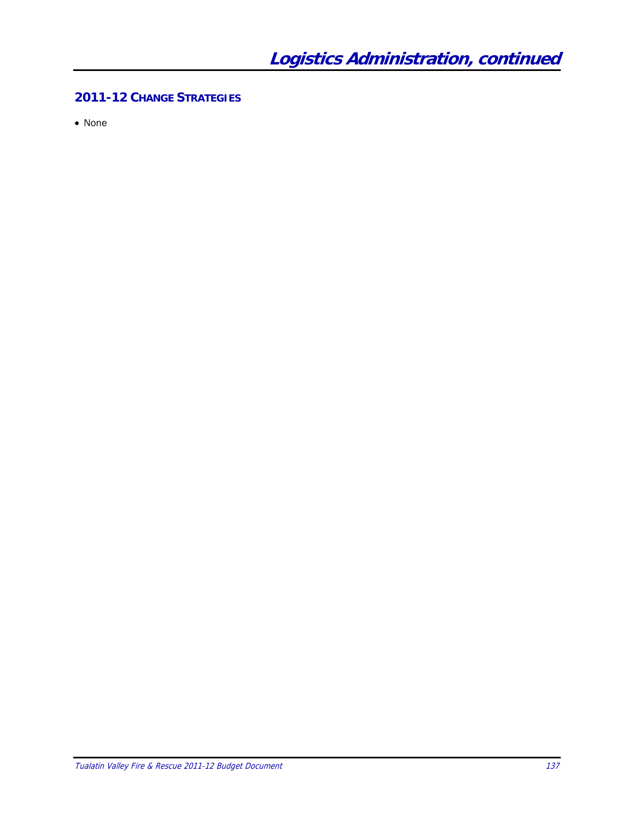## **2011-12 CHANGE STRATEGIES**

• None